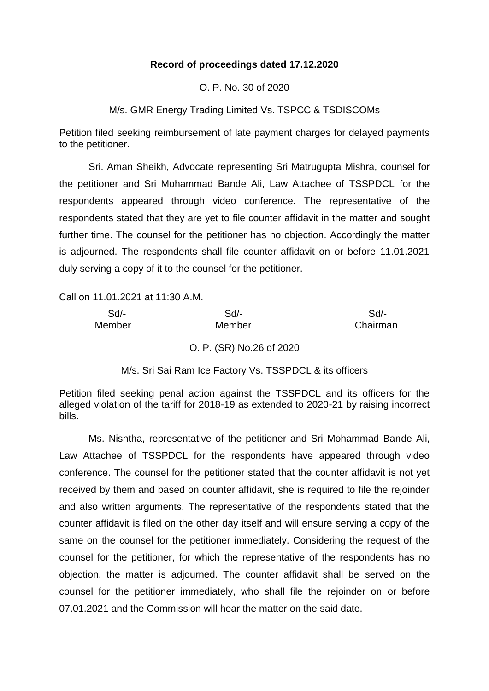# **Record of proceedings dated 17.12.2020**

O. P. No. 30 of 2020

M/s. GMR Energy Trading Limited Vs. TSPCC & TSDISCOMs

Petition filed seeking reimbursement of late payment charges for delayed payments to the petitioner.

Sri. Aman Sheikh, Advocate representing Sri Matrugupta Mishra, counsel for the petitioner and Sri Mohammad Bande Ali, Law Attachee of TSSPDCL for the respondents appeared through video conference. The representative of the respondents stated that they are yet to file counter affidavit in the matter and sought further time. The counsel for the petitioner has no objection. Accordingly the matter is adjourned. The respondents shall file counter affidavit on or before 11.01.2021 duly serving a copy of it to the counsel for the petitioner.

Call on 11.01.2021 at 11:30 A.M.

| $Sd$ - | $Sd$ -                   | Sd       |
|--------|--------------------------|----------|
| Member | Member                   | Chairman |
|        | O. P. (SR) No.26 of 2020 |          |

M/s. Sri Sai Ram Ice Factory Vs. TSSPDCL & its officers

Petition filed seeking penal action against the TSSPDCL and its officers for the alleged violation of the tariff for 2018-19 as extended to 2020-21 by raising incorrect bills.

Ms. Nishtha, representative of the petitioner and Sri Mohammad Bande Ali, Law Attachee of TSSPDCL for the respondents have appeared through video conference. The counsel for the petitioner stated that the counter affidavit is not yet received by them and based on counter affidavit, she is required to file the rejoinder and also written arguments. The representative of the respondents stated that the counter affidavit is filed on the other day itself and will ensure serving a copy of the same on the counsel for the petitioner immediately. Considering the request of the counsel for the petitioner, for which the representative of the respondents has no objection, the matter is adjourned. The counter affidavit shall be served on the counsel for the petitioner immediately, who shall file the rejoinder on or before 07.01.2021 and the Commission will hear the matter on the said date.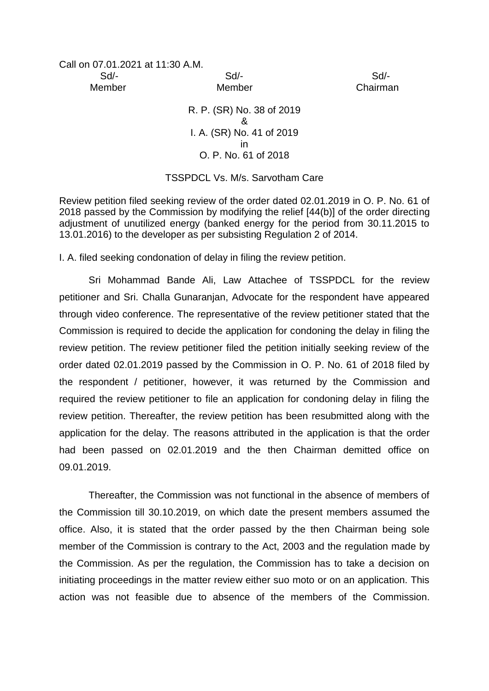Call on 07.01.2021 at 11:30 A.M.

 Sd/- Sd/- Sd/- Member Member Chairman

> R. P. (SR) No. 38 of 2019 & I. A. (SR) No. 41 of 2019 in O. P. No. 61 of 2018

## TSSPDCL Vs. M/s. Sarvotham Care

Review petition filed seeking review of the order dated 02.01.2019 in O. P. No. 61 of 2018 passed by the Commission by modifying the relief [44(b)] of the order directing adjustment of unutilized energy (banked energy for the period from 30.11.2015 to 13.01.2016) to the developer as per subsisting Regulation 2 of 2014.

I. A. filed seeking condonation of delay in filing the review petition.

Sri Mohammad Bande Ali, Law Attachee of TSSPDCL for the review petitioner and Sri. Challa Gunaranjan, Advocate for the respondent have appeared through video conference. The representative of the review petitioner stated that the Commission is required to decide the application for condoning the delay in filing the review petition. The review petitioner filed the petition initially seeking review of the order dated 02.01.2019 passed by the Commission in O. P. No. 61 of 2018 filed by the respondent / petitioner, however, it was returned by the Commission and required the review petitioner to file an application for condoning delay in filing the review petition. Thereafter, the review petition has been resubmitted along with the application for the delay. The reasons attributed in the application is that the order had been passed on 02.01.2019 and the then Chairman demitted office on 09.01.2019.

Thereafter, the Commission was not functional in the absence of members of the Commission till 30.10.2019, on which date the present members assumed the office. Also, it is stated that the order passed by the then Chairman being sole member of the Commission is contrary to the Act, 2003 and the regulation made by the Commission. As per the regulation, the Commission has to take a decision on initiating proceedings in the matter review either suo moto or on an application. This action was not feasible due to absence of the members of the Commission.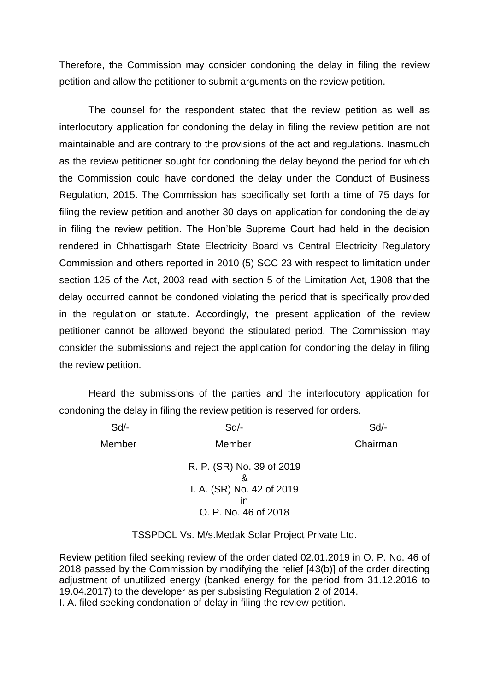Therefore, the Commission may consider condoning the delay in filing the review petition and allow the petitioner to submit arguments on the review petition.

The counsel for the respondent stated that the review petition as well as interlocutory application for condoning the delay in filing the review petition are not maintainable and are contrary to the provisions of the act and regulations. Inasmuch as the review petitioner sought for condoning the delay beyond the period for which the Commission could have condoned the delay under the Conduct of Business Regulation, 2015. The Commission has specifically set forth a time of 75 days for filing the review petition and another 30 days on application for condoning the delay in filing the review petition. The Hon'ble Supreme Court had held in the decision rendered in Chhattisgarh State Electricity Board vs Central Electricity Regulatory Commission and others reported in 2010 (5) SCC 23 with respect to limitation under section 125 of the Act, 2003 read with section 5 of the Limitation Act, 1908 that the delay occurred cannot be condoned violating the period that is specifically provided in the regulation or statute. Accordingly, the present application of the review petitioner cannot be allowed beyond the stipulated period. The Commission may consider the submissions and reject the application for condoning the delay in filing the review petition.

Heard the submissions of the parties and the interlocutory application for condoning the delay in filing the review petition is reserved for orders.

| Sd/-   | $Sd$ -                                                                                    | Sd       |
|--------|-------------------------------------------------------------------------------------------|----------|
| Member | Member                                                                                    | Chairman |
|        | R. P. (SR) No. 39 of 2019<br>&<br>I. A. (SR) No. 42 of 2019<br>ın<br>O. P. No. 46 of 2018 |          |

TSSPDCL Vs. M/s.Medak Solar Project Private Ltd.

Review petition filed seeking review of the order dated 02.01.2019 in O. P. No. 46 of 2018 passed by the Commission by modifying the relief [43(b)] of the order directing adjustment of unutilized energy (banked energy for the period from 31.12.2016 to 19.04.2017) to the developer as per subsisting Regulation 2 of 2014. I. A. filed seeking condonation of delay in filing the review petition.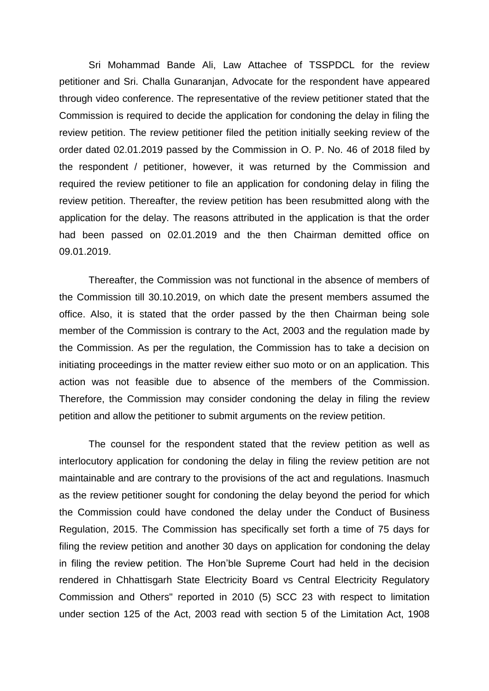Sri Mohammad Bande Ali, Law Attachee of TSSPDCL for the review petitioner and Sri. Challa Gunaranjan, Advocate for the respondent have appeared through video conference. The representative of the review petitioner stated that the Commission is required to decide the application for condoning the delay in filing the review petition. The review petitioner filed the petition initially seeking review of the order dated 02.01.2019 passed by the Commission in O. P. No. 46 of 2018 filed by the respondent / petitioner, however, it was returned by the Commission and required the review petitioner to file an application for condoning delay in filing the review petition. Thereafter, the review petition has been resubmitted along with the application for the delay. The reasons attributed in the application is that the order had been passed on 02.01.2019 and the then Chairman demitted office on 09.01.2019.

Thereafter, the Commission was not functional in the absence of members of the Commission till 30.10.2019, on which date the present members assumed the office. Also, it is stated that the order passed by the then Chairman being sole member of the Commission is contrary to the Act, 2003 and the regulation made by the Commission. As per the regulation, the Commission has to take a decision on initiating proceedings in the matter review either suo moto or on an application. This action was not feasible due to absence of the members of the Commission. Therefore, the Commission may consider condoning the delay in filing the review petition and allow the petitioner to submit arguments on the review petition.

The counsel for the respondent stated that the review petition as well as interlocutory application for condoning the delay in filing the review petition are not maintainable and are contrary to the provisions of the act and regulations. Inasmuch as the review petitioner sought for condoning the delay beyond the period for which the Commission could have condoned the delay under the Conduct of Business Regulation, 2015. The Commission has specifically set forth a time of 75 days for filing the review petition and another 30 days on application for condoning the delay in filing the review petition. The Hon'ble Supreme Court had held in the decision rendered in Chhattisgarh State Electricity Board vs Central Electricity Regulatory Commission and Others" reported in 2010 (5) SCC 23 with respect to limitation under section 125 of the Act, 2003 read with section 5 of the Limitation Act, 1908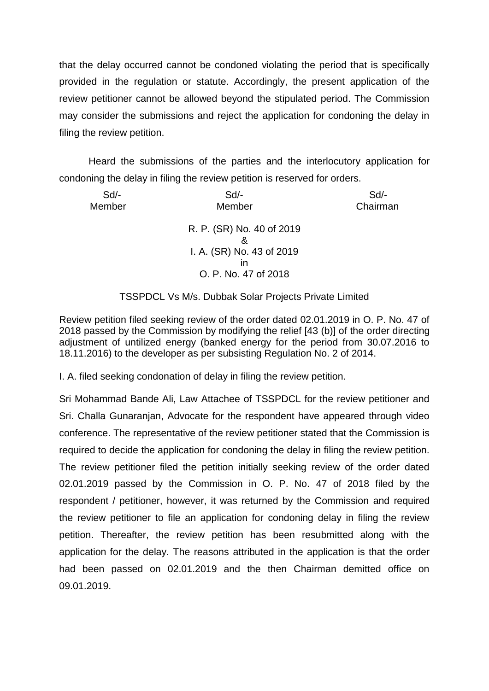that the delay occurred cannot be condoned violating the period that is specifically provided in the regulation or statute. Accordingly, the present application of the review petitioner cannot be allowed beyond the stipulated period. The Commission may consider the submissions and reject the application for condoning the delay in filing the review petition.

Heard the submissions of the parties and the interlocutory application for condoning the delay in filing the review petition is reserved for orders.

| $Sd$ -<br>Member | $Sd$ -<br>Member               | $Sd$ -<br>Chairman |
|------------------|--------------------------------|--------------------|
|                  | R. P. (SR) No. 40 of 2019<br>8 |                    |
|                  | I. A. (SR) No. 43 of 2019      |                    |
|                  | ın                             |                    |
|                  | O. P. No. 47 of 2018           |                    |

## TSSPDCL Vs M/s. Dubbak Solar Projects Private Limited

Review petition filed seeking review of the order dated 02.01.2019 in O. P. No. 47 of 2018 passed by the Commission by modifying the relief [43 (b)] of the order directing adjustment of untilized energy (banked energy for the period from 30.07.2016 to 18.11.2016) to the developer as per subsisting Regulation No. 2 of 2014.

I. A. filed seeking condonation of delay in filing the review petition.

Sri Mohammad Bande Ali, Law Attachee of TSSPDCL for the review petitioner and Sri. Challa Gunaranjan, Advocate for the respondent have appeared through video conference. The representative of the review petitioner stated that the Commission is required to decide the application for condoning the delay in filing the review petition. The review petitioner filed the petition initially seeking review of the order dated 02.01.2019 passed by the Commission in O. P. No. 47 of 2018 filed by the respondent / petitioner, however, it was returned by the Commission and required the review petitioner to file an application for condoning delay in filing the review petition. Thereafter, the review petition has been resubmitted along with the application for the delay. The reasons attributed in the application is that the order had been passed on 02.01.2019 and the then Chairman demitted office on 09.01.2019.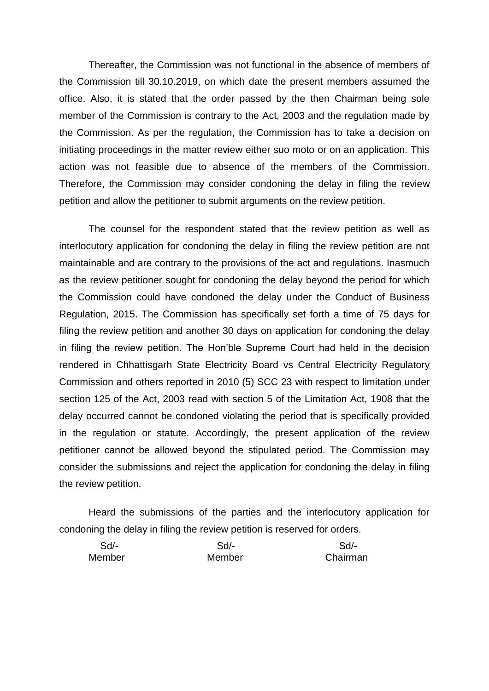Thereafter, the Commission was not functional in the absence of members of the Commission till 30.10.2019, on which date the present members assumed the office. Also, it is stated that the order passed by the then Chairman being sole member of the Commission is contrary to the Act, 2003 and the regulation made by the Commission. As per the regulation, the Commission has to take a decision on initiating proceedings in the matter review either suo moto or on an application. This action was not feasible due to absence of the members of the Commission. Therefore, the Commission may consider condoning the delay in filing the review petition and allow the petitioner to submit arguments on the review petition.

The counsel for the respondent stated that the review petition as well as interlocutory application for condoning the delay in filing the review petition are not maintainable and are contrary to the provisions of the act and regulations. Inasmuch as the review petitioner sought for condoning the delay beyond the period for which the Commission could have condoned the delay under the Conduct of Business Regulation, 2015. The Commission has specifically set forth a time of 75 days for filing the review petition and another 30 days on application for condoning the delay in filing the review petition. The Hon'ble Supreme Court had held in the decision rendered in Chhattisgarh State Electricity Board vs Central Electricity Regulatory Commission and others reported in 2010 (5) SCC 23 with respect to limitation under section 125 of the Act, 2003 read with section 5 of the Limitation Act, 1908 that the delay occurred cannot be condoned violating the period that is specifically provided in the regulation or statute. Accordingly, the present application of the review petitioner cannot be allowed beyond the stipulated period. The Commission may consider the submissions and reject the application for condoning the delay in filing the review petition.

Heard the submissions of the parties and the interlocutory application for condoning the delay in filing the review petition is reserved for orders.

| $Sd$ - | Sd     | Sd/-     |
|--------|--------|----------|
| Member | Member | Chairman |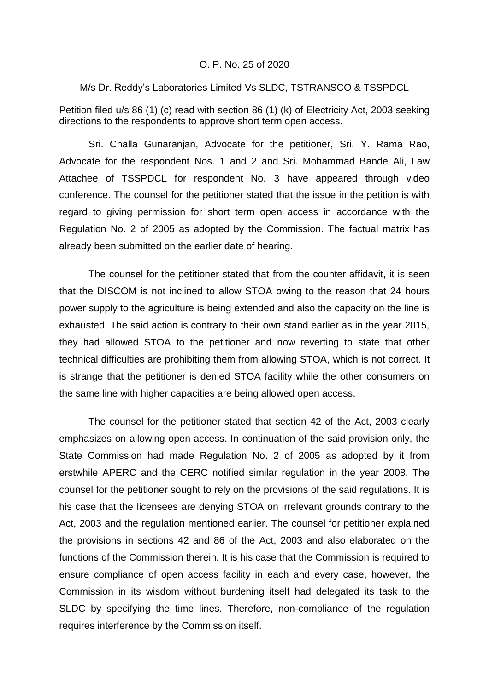#### O. P. No. 25 of 2020

M/s Dr. Reddy's Laboratories Limited Vs SLDC, TSTRANSCO & TSSPDCL

Petition filed u/s 86 (1) (c) read with section 86 (1) (k) of Electricity Act, 2003 seeking directions to the respondents to approve short term open access.

Sri. Challa Gunaranjan, Advocate for the petitioner, Sri. Y. Rama Rao, Advocate for the respondent Nos. 1 and 2 and Sri. Mohammad Bande Ali, Law Attachee of TSSPDCL for respondent No. 3 have appeared through video conference. The counsel for the petitioner stated that the issue in the petition is with regard to giving permission for short term open access in accordance with the Regulation No. 2 of 2005 as adopted by the Commission. The factual matrix has already been submitted on the earlier date of hearing.

The counsel for the petitioner stated that from the counter affidavit, it is seen that the DISCOM is not inclined to allow STOA owing to the reason that 24 hours power supply to the agriculture is being extended and also the capacity on the line is exhausted. The said action is contrary to their own stand earlier as in the year 2015, they had allowed STOA to the petitioner and now reverting to state that other technical difficulties are prohibiting them from allowing STOA, which is not correct. It is strange that the petitioner is denied STOA facility while the other consumers on the same line with higher capacities are being allowed open access.

The counsel for the petitioner stated that section 42 of the Act, 2003 clearly emphasizes on allowing open access. In continuation of the said provision only, the State Commission had made Regulation No. 2 of 2005 as adopted by it from erstwhile APERC and the CERC notified similar regulation in the year 2008. The counsel for the petitioner sought to rely on the provisions of the said regulations. It is his case that the licensees are denying STOA on irrelevant grounds contrary to the Act, 2003 and the regulation mentioned earlier. The counsel for petitioner explained the provisions in sections 42 and 86 of the Act, 2003 and also elaborated on the functions of the Commission therein. It is his case that the Commission is required to ensure compliance of open access facility in each and every case, however, the Commission in its wisdom without burdening itself had delegated its task to the SLDC by specifying the time lines. Therefore, non-compliance of the regulation requires interference by the Commission itself.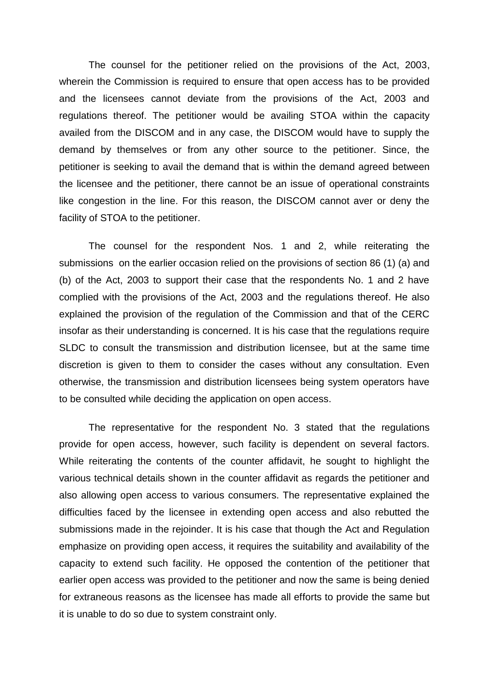The counsel for the petitioner relied on the provisions of the Act, 2003, wherein the Commission is required to ensure that open access has to be provided and the licensees cannot deviate from the provisions of the Act, 2003 and regulations thereof. The petitioner would be availing STOA within the capacity availed from the DISCOM and in any case, the DISCOM would have to supply the demand by themselves or from any other source to the petitioner. Since, the petitioner is seeking to avail the demand that is within the demand agreed between the licensee and the petitioner, there cannot be an issue of operational constraints like congestion in the line. For this reason, the DISCOM cannot aver or deny the facility of STOA to the petitioner.

The counsel for the respondent Nos. 1 and 2, while reiterating the submissions on the earlier occasion relied on the provisions of section 86 (1) (a) and (b) of the Act, 2003 to support their case that the respondents No. 1 and 2 have complied with the provisions of the Act, 2003 and the regulations thereof. He also explained the provision of the regulation of the Commission and that of the CERC insofar as their understanding is concerned. It is his case that the regulations require SLDC to consult the transmission and distribution licensee, but at the same time discretion is given to them to consider the cases without any consultation. Even otherwise, the transmission and distribution licensees being system operators have to be consulted while deciding the application on open access.

The representative for the respondent No. 3 stated that the regulations provide for open access, however, such facility is dependent on several factors. While reiterating the contents of the counter affidavit, he sought to highlight the various technical details shown in the counter affidavit as regards the petitioner and also allowing open access to various consumers. The representative explained the difficulties faced by the licensee in extending open access and also rebutted the submissions made in the rejoinder. It is his case that though the Act and Regulation emphasize on providing open access, it requires the suitability and availability of the capacity to extend such facility. He opposed the contention of the petitioner that earlier open access was provided to the petitioner and now the same is being denied for extraneous reasons as the licensee has made all efforts to provide the same but it is unable to do so due to system constraint only.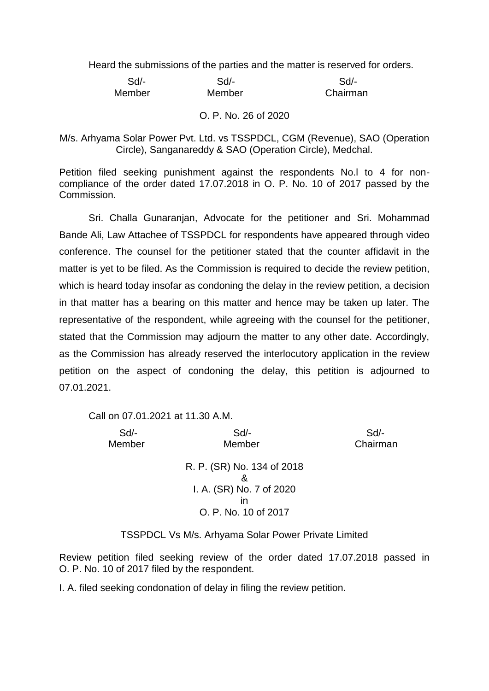Heard the submissions of the parties and the matter is reserved for orders.

| Sd     | Sd     | Sd       |
|--------|--------|----------|
| Member | Member | Chairman |

#### O. P. No. 26 of 2020

M/s. Arhyama Solar Power Pvt. Ltd. vs TSSPDCL, CGM (Revenue), SAO (Operation Circle), Sanganareddy & SAO (Operation Circle), Medchal.

Petition filed seeking punishment against the respondents No.l to 4 for noncompliance of the order dated 17.07.2018 in O. P. No. 10 of 2017 passed by the Commission.

Sri. Challa Gunaranjan, Advocate for the petitioner and Sri. Mohammad Bande Ali, Law Attachee of TSSPDCL for respondents have appeared through video conference. The counsel for the petitioner stated that the counter affidavit in the matter is yet to be filed. As the Commission is required to decide the review petition, which is heard today insofar as condoning the delay in the review petition, a decision in that matter has a bearing on this matter and hence may be taken up later. The representative of the respondent, while agreeing with the counsel for the petitioner, stated that the Commission may adjourn the matter to any other date. Accordingly, as the Commission has already reserved the interlocutory application in the review petition on the aspect of condoning the delay, this petition is adjourned to 07.01.2021.

Call on 07.01.2021 at 11.30 A.M.

 Sd/- Sd/- Sd/- Member Member Chairman R. P. (SR) No. 134 of 2018 & I. A. (SR) No. 7 of 2020 in O. P. No. 10 of 2017

TSSPDCL Vs M/s. Arhyama Solar Power Private Limited

Review petition filed seeking review of the order dated 17.07.2018 passed in O. P. No. 10 of 2017 filed by the respondent.

I. A. filed seeking condonation of delay in filing the review petition.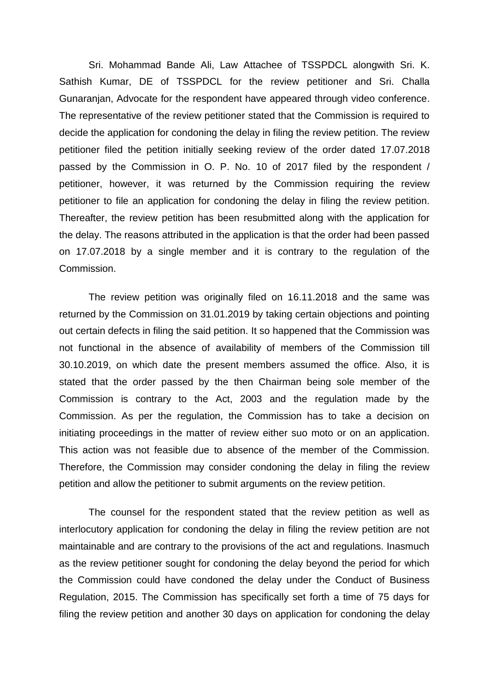Sri. Mohammad Bande Ali, Law Attachee of TSSPDCL alongwith Sri. K. Sathish Kumar, DE of TSSPDCL for the review petitioner and Sri. Challa Gunaranjan, Advocate for the respondent have appeared through video conference. The representative of the review petitioner stated that the Commission is required to decide the application for condoning the delay in filing the review petition. The review petitioner filed the petition initially seeking review of the order dated 17.07.2018 passed by the Commission in O. P. No. 10 of 2017 filed by the respondent / petitioner, however, it was returned by the Commission requiring the review petitioner to file an application for condoning the delay in filing the review petition. Thereafter, the review petition has been resubmitted along with the application for the delay. The reasons attributed in the application is that the order had been passed on 17.07.2018 by a single member and it is contrary to the regulation of the Commission.

The review petition was originally filed on 16.11.2018 and the same was returned by the Commission on 31.01.2019 by taking certain objections and pointing out certain defects in filing the said petition. It so happened that the Commission was not functional in the absence of availability of members of the Commission till 30.10.2019, on which date the present members assumed the office. Also, it is stated that the order passed by the then Chairman being sole member of the Commission is contrary to the Act, 2003 and the regulation made by the Commission. As per the regulation, the Commission has to take a decision on initiating proceedings in the matter of review either suo moto or on an application. This action was not feasible due to absence of the member of the Commission. Therefore, the Commission may consider condoning the delay in filing the review petition and allow the petitioner to submit arguments on the review petition.

The counsel for the respondent stated that the review petition as well as interlocutory application for condoning the delay in filing the review petition are not maintainable and are contrary to the provisions of the act and regulations. Inasmuch as the review petitioner sought for condoning the delay beyond the period for which the Commission could have condoned the delay under the Conduct of Business Regulation, 2015. The Commission has specifically set forth a time of 75 days for filing the review petition and another 30 days on application for condoning the delay